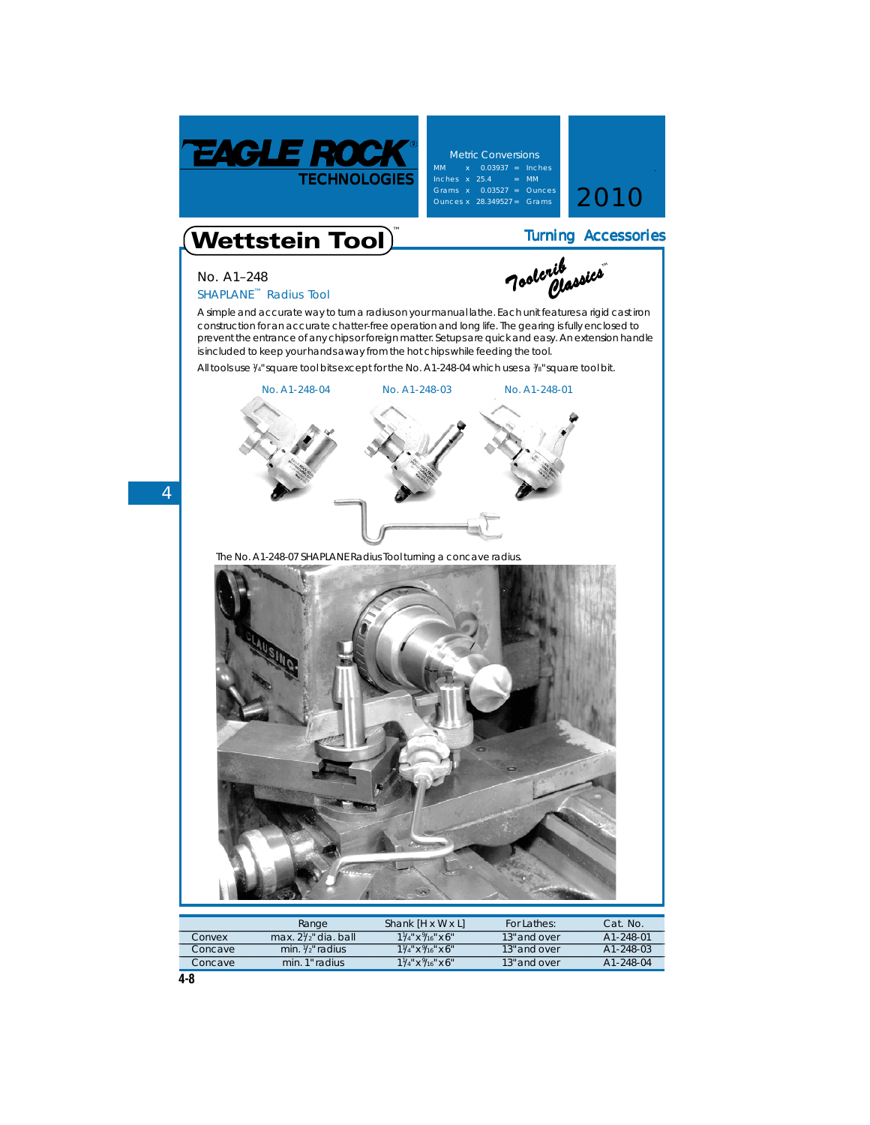

**Metric Conversions** Inches x 25.4 = MM<br>Grams x 0.03527 = Ounces<br>Ounces x 28.349527 = Grams 2010



 *Classics Classics***™**

*Toolcrib Toolcrib*

## Wettstein Tool **™**

## **No. A1–248**

## **SHAPLANE**™ **Radius Tool**

A simple and accurate way to turn a radius on your manual lathe. Each unit features a rigid cast iron construction for an accurate chatter-free operation and long life. The gearing is fully enclosed to prevent the entrance of any chips or foreign matter. Setups are quick and easy. An extension handle is included to keep your hands away from the hot chips while feeding the tool.

All tools use 1/4" square tool bits except for the No. A1-248-04 which uses a 3/8" square tool bit.



The No. A1-248-07 **SHAPLANE** Radius Tool turning a concave radius.



|         | Range                           | Shank IH x W x Ll                        | For Lathes:  | Cat. No.  |
|---------|---------------------------------|------------------------------------------|--------------|-----------|
| Convex  | max. $2\frac{1}{2}$ " dia. ball | $1\frac{1}{4}$ " x $\frac{9}{16}$ " x 6" | 13" and over | A1-248-01 |
| Concave | min. $1/2$ " radius             | $1\frac{1}{4}$ x $\frac{9}{16}$ x 6"     | 13" and over | A1-248-03 |
| Concave | min. 1" radius                  | $1\frac{1}{4}$ x $\frac{9}{16}$ x 6"     | 13" and over | A1-248-04 |

**4**